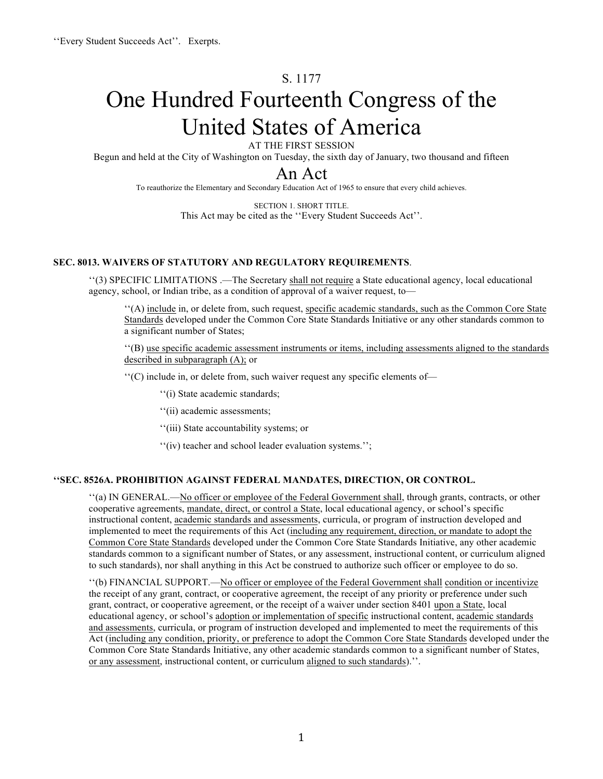# S. 1177

# One Hundred Fourteenth Congress of the United States of America

AT THE FIRST SESSION

Begun and held at the City of Washington on Tuesday, the sixth day of January, two thousand and fifteen

# An Act

To reauthorize the Elementary and Secondary Education Act of 1965 to ensure that every child achieves.

SECTION 1. SHORT TITLE. This Act may be cited as the ''Every Student Succeeds Act''.

#### **SEC. 8013. WAIVERS OF STATUTORY AND REGULATORY REQUIREMENTS**.

''(3) SPECIFIC LIMITATIONS .—The Secretary shall not require a State educational agency, local educational agency, school, or Indian tribe, as a condition of approval of a waiver request, to—

''(A) include in, or delete from, such request, specific academic standards, such as the Common Core State Standards developed under the Common Core State Standards Initiative or any other standards common to a significant number of States;

''(B) use specific academic assessment instruments or items, including assessments aligned to the standards described in subparagraph (A); or

''(C) include in, or delete from, such waiver request any specific elements of—

''(i) State academic standards;

''(ii) academic assessments;

''(iii) State accountability systems; or

''(iv) teacher and school leader evaluation systems.'';

#### **''SEC. 8526A. PROHIBITION AGAINST FEDERAL MANDATES, DIRECTION, OR CONTROL.**

''(a) IN GENERAL.—No officer or employee of the Federal Government shall, through grants, contracts, or other cooperative agreements, mandate, direct, or control a State, local educational agency, or school's specific instructional content, academic standards and assessments, curricula, or program of instruction developed and implemented to meet the requirements of this Act (including any requirement, direction, or mandate to adopt the Common Core State Standards developed under the Common Core State Standards Initiative, any other academic standards common to a significant number of States, or any assessment, instructional content, or curriculum aligned to such standards), nor shall anything in this Act be construed to authorize such officer or employee to do so.

''(b) FINANCIAL SUPPORT.—No officer or employee of the Federal Government shall condition or incentivize the receipt of any grant, contract, or cooperative agreement, the receipt of any priority or preference under such grant, contract, or cooperative agreement, or the receipt of a waiver under section 8401 upon a State, local educational agency, or school's adoption or implementation of specific instructional content, academic standards and assessments, curricula, or program of instruction developed and implemented to meet the requirements of this Act (including any condition, priority, or preference to adopt the Common Core State Standards developed under the Common Core State Standards Initiative, any other academic standards common to a significant number of States, or any assessment, instructional content, or curriculum aligned to such standards).''.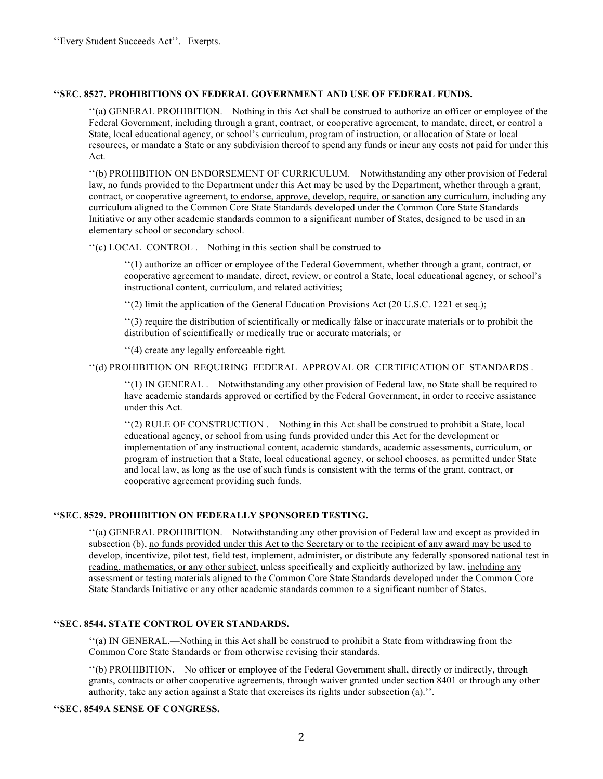#### **''SEC. 8527. PROHIBITIONS ON FEDERAL GOVERNMENT AND USE OF FEDERAL FUNDS.**

''(a) GENERAL PROHIBITION.—Nothing in this Act shall be construed to authorize an officer or employee of the Federal Government, including through a grant, contract, or cooperative agreement, to mandate, direct, or control a State, local educational agency, or school's curriculum, program of instruction, or allocation of State or local resources, or mandate a State or any subdivision thereof to spend any funds or incur any costs not paid for under this Act.

''(b) PROHIBITION ON ENDORSEMENT OF CURRICULUM.—Notwithstanding any other provision of Federal law, no funds provided to the Department under this Act may be used by the Department, whether through a grant, contract, or cooperative agreement, to endorse, approve, develop, require, or sanction any curriculum, including any curriculum aligned to the Common Core State Standards developed under the Common Core State Standards Initiative or any other academic standards common to a significant number of States, designed to be used in an elementary school or secondary school.

''(c) LOCAL CONTROL .—Nothing in this section shall be construed to—

''(1) authorize an officer or employee of the Federal Government, whether through a grant, contract, or cooperative agreement to mandate, direct, review, or control a State, local educational agency, or school's instructional content, curriculum, and related activities;

''(2) limit the application of the General Education Provisions Act (20 U.S.C. 1221 et seq.);

''(3) require the distribution of scientifically or medically false or inaccurate materials or to prohibit the distribution of scientifically or medically true or accurate materials; or

''(4) create any legally enforceable right.

''(d) PROHIBITION ON REQUIRING FEDERAL APPROVAL OR CERTIFICATION OF STANDARDS .—

''(1) IN GENERAL .—Notwithstanding any other provision of Federal law, no State shall be required to have academic standards approved or certified by the Federal Government, in order to receive assistance under this Act.

''(2) RULE OF CONSTRUCTION .—Nothing in this Act shall be construed to prohibit a State, local educational agency, or school from using funds provided under this Act for the development or implementation of any instructional content, academic standards, academic assessments, curriculum, or program of instruction that a State, local educational agency, or school chooses, as permitted under State and local law, as long as the use of such funds is consistent with the terms of the grant, contract, or cooperative agreement providing such funds.

#### **''SEC. 8529. PROHIBITION ON FEDERALLY SPONSORED TESTING.**

''(a) GENERAL PROHIBITION.—Notwithstanding any other provision of Federal law and except as provided in subsection (b), no funds provided under this Act to the Secretary or to the recipient of any award may be used to develop, incentivize, pilot test, field test, implement, administer, or distribute any federally sponsored national test in reading, mathematics, or any other subject, unless specifically and explicitly authorized by law, including any assessment or testing materials aligned to the Common Core State Standards developed under the Common Core State Standards Initiative or any other academic standards common to a significant number of States.

# **''SEC. 8544. STATE CONTROL OVER STANDARDS.**

''(a) IN GENERAL.—Nothing in this Act shall be construed to prohibit a State from withdrawing from the Common Core State Standards or from otherwise revising their standards.

''(b) PROHIBITION.—No officer or employee of the Federal Government shall, directly or indirectly, through grants, contracts or other cooperative agreements, through waiver granted under section 8401 or through any other authority, take any action against a State that exercises its rights under subsection (a).''.

#### **''SEC. 8549A SENSE OF CONGRESS.**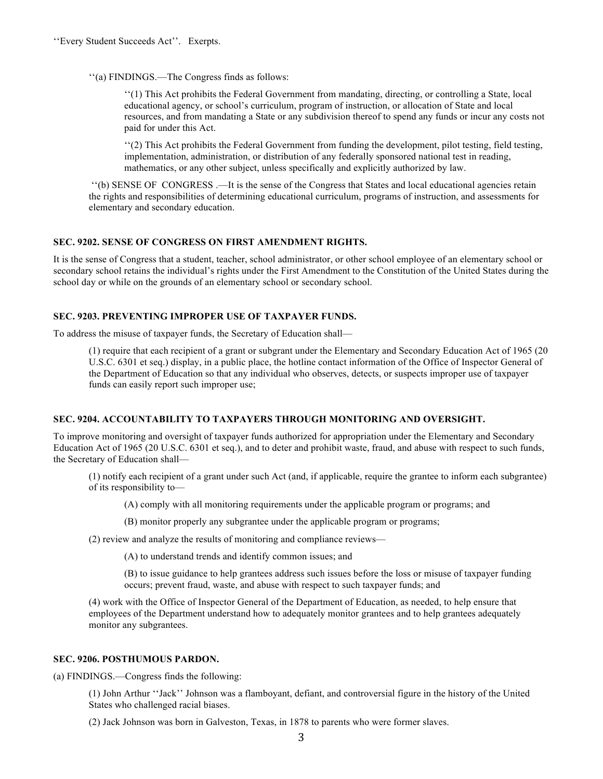''(a) FINDINGS.—The Congress finds as follows:

''(1) This Act prohibits the Federal Government from mandating, directing, or controlling a State, local educational agency, or school's curriculum, program of instruction, or allocation of State and local resources, and from mandating a State or any subdivision thereof to spend any funds or incur any costs not paid for under this Act.

''(2) This Act prohibits the Federal Government from funding the development, pilot testing, field testing, implementation, administration, or distribution of any federally sponsored national test in reading, mathematics, or any other subject, unless specifically and explicitly authorized by law.

''(b) SENSE OF CONGRESS .—It is the sense of the Congress that States and local educational agencies retain the rights and responsibilities of determining educational curriculum, programs of instruction, and assessments for elementary and secondary education.

# **SEC. 9202. SENSE OF CONGRESS ON FIRST AMENDMENT RIGHTS.**

It is the sense of Congress that a student, teacher, school administrator, or other school employee of an elementary school or secondary school retains the individual's rights under the First Amendment to the Constitution of the United States during the school day or while on the grounds of an elementary school or secondary school.

# **SEC. 9203. PREVENTING IMPROPER USE OF TAXPAYER FUNDS.**

To address the misuse of taxpayer funds, the Secretary of Education shall—

(1) require that each recipient of a grant or subgrant under the Elementary and Secondary Education Act of 1965 (20 U.S.C. 6301 et seq.) display, in a public place, the hotline contact information of the Office of Inspector General of the Department of Education so that any individual who observes, detects, or suspects improper use of taxpayer funds can easily report such improper use;

# **SEC. 9204. ACCOUNTABILITY TO TAXPAYERS THROUGH MONITORING AND OVERSIGHT.**

To improve monitoring and oversight of taxpayer funds authorized for appropriation under the Elementary and Secondary Education Act of 1965 (20 U.S.C. 6301 et seq.), and to deter and prohibit waste, fraud, and abuse with respect to such funds, the Secretary of Education shall—

(1) notify each recipient of a grant under such Act (and, if applicable, require the grantee to inform each subgrantee) of its responsibility to—

(A) comply with all monitoring requirements under the applicable program or programs; and

(B) monitor properly any subgrantee under the applicable program or programs;

(2) review and analyze the results of monitoring and compliance reviews—

(A) to understand trends and identify common issues; and

(B) to issue guidance to help grantees address such issues before the loss or misuse of taxpayer funding occurs; prevent fraud, waste, and abuse with respect to such taxpayer funds; and

(4) work with the Office of Inspector General of the Department of Education, as needed, to help ensure that employees of the Department understand how to adequately monitor grantees and to help grantees adequately monitor any subgrantees.

#### **SEC. 9206. POSTHUMOUS PARDON.**

(a) FINDINGS.—Congress finds the following:

(1) John Arthur ''Jack'' Johnson was a flamboyant, defiant, and controversial figure in the history of the United States who challenged racial biases.

(2) Jack Johnson was born in Galveston, Texas, in 1878 to parents who were former slaves.